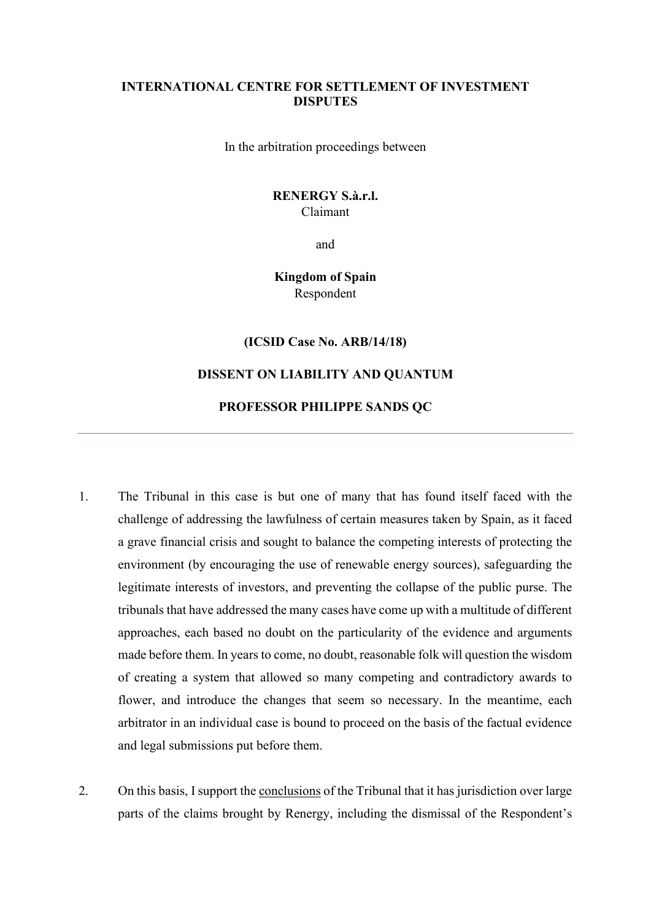### **INTERNATIONAL CENTRE FOR SETTLEMENT OF INVESTMENT DISPUTES**

In the arbitration proceedings between

## **RENERGY S.à.r.l.**  Claimant

and

# **Kingdom of Spain** Respondent

**(ICSID Case No. ARB/14/18)**

### **DISSENT ON LIABILITY AND QUANTUM**

### **PROFESSOR PHILIPPE SANDS QC**

- 1. The Tribunal in this case is but one of many that has found itself faced with the challenge of addressing the lawfulness of certain measures taken by Spain, as it faced a grave financial crisis and sought to balance the competing interests of protecting the environment (by encouraging the use of renewable energy sources), safeguarding the legitimate interests of investors, and preventing the collapse of the public purse. The tribunals that have addressed the many cases have come up with a multitude of different approaches, each based no doubt on the particularity of the evidence and arguments made before them. In years to come, no doubt, reasonable folk will question the wisdom of creating a system that allowed so many competing and contradictory awards to flower, and introduce the changes that seem so necessary. In the meantime, each arbitrator in an individual case is bound to proceed on the basis of the factual evidence and legal submissions put before them.
- 2. On this basis, I support the conclusions of the Tribunal that it has jurisdiction over large parts of the claims brought by Renergy, including the dismissal of the Respondent's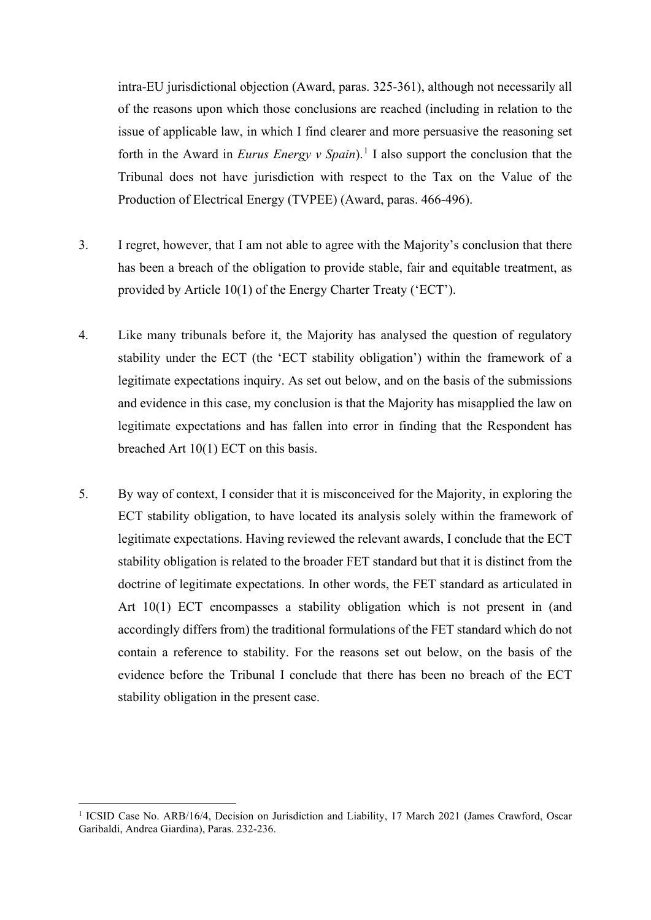intra-EU jurisdictional objection (Award, paras. 325-361), although not necessarily all of the reasons upon which those conclusions are reached (including in relation to the issue of applicable law, in which I find clearer and more persuasive the reasoning set forth in the Award in *Eurus Energy v Spain*).<sup>[1](#page-1-0)</sup> I also support the conclusion that the Tribunal does not have jurisdiction with respect to the Tax on the Value of the Production of Electrical Energy (TVPEE) (Award, paras. 466-496).

- 3. I regret, however, that I am not able to agree with the Majority's conclusion that there has been a breach of the obligation to provide stable, fair and equitable treatment, as provided by Article 10(1) of the Energy Charter Treaty ('ECT').
- 4. Like many tribunals before it, the Majority has analysed the question of regulatory stability under the ECT (the 'ECT stability obligation') within the framework of a legitimate expectations inquiry. As set out below, and on the basis of the submissions and evidence in this case, my conclusion is that the Majority has misapplied the law on legitimate expectations and has fallen into error in finding that the Respondent has breached Art 10(1) ECT on this basis.
- 5. By way of context, I consider that it is misconceived for the Majority, in exploring the ECT stability obligation, to have located its analysis solely within the framework of legitimate expectations. Having reviewed the relevant awards, I conclude that the ECT stability obligation is related to the broader FET standard but that it is distinct from the doctrine of legitimate expectations. In other words, the FET standard as articulated in Art 10(1) ECT encompasses a stability obligation which is not present in (and accordingly differs from) the traditional formulations of the FET standard which do not contain a reference to stability. For the reasons set out below, on the basis of the evidence before the Tribunal I conclude that there has been no breach of the ECT stability obligation in the present case.

<span id="page-1-0"></span><sup>&</sup>lt;sup>1</sup> ICSID Case No. ARB/16/4, Decision on Jurisdiction and Liability, 17 March 2021 (James Crawford, Oscar Garibaldi, Andrea Giardina), Paras. 232-236.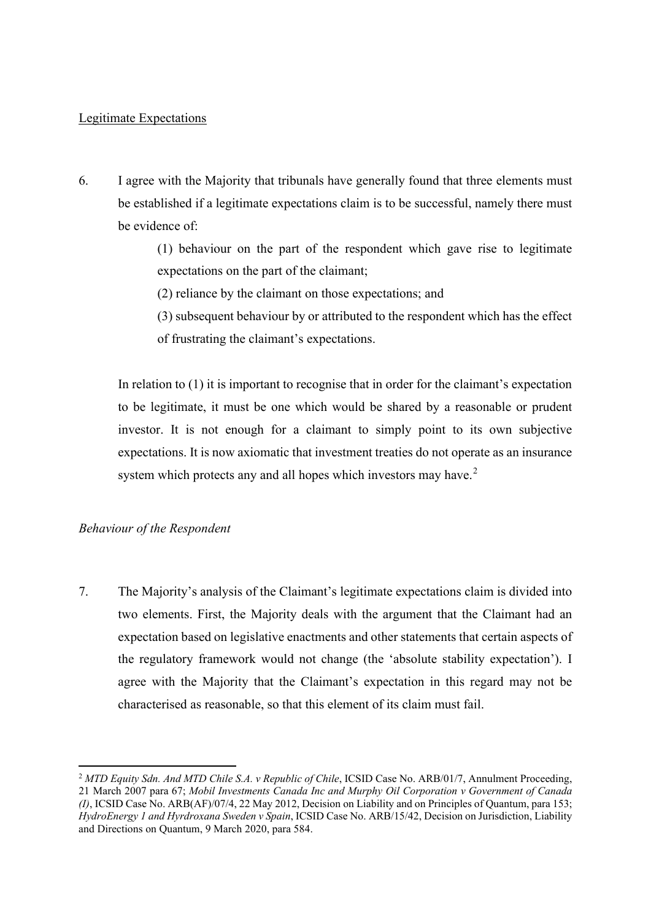## Legitimate Expectations

6. I agree with the Majority that tribunals have generally found that three elements must be established if a legitimate expectations claim is to be successful, namely there must be evidence of:

> (1) behaviour on the part of the respondent which gave rise to legitimate expectations on the part of the claimant;

- (2) reliance by the claimant on those expectations; and
- (3) subsequent behaviour by or attributed to the respondent which has the effect of frustrating the claimant's expectations.

In relation to (1) it is important to recognise that in order for the claimant's expectation to be legitimate, it must be one which would be shared by a reasonable or prudent investor. It is not enough for a claimant to simply point to its own subjective expectations. It is now axiomatic that investment treaties do not operate as an insurance system which protects any and all hopes which investors may have.<sup>[2](#page-2-0)</sup>

# *Behaviour of the Respondent*

7. The Majority's analysis of the Claimant's legitimate expectations claim is divided into two elements. First, the Majority deals with the argument that the Claimant had an expectation based on legislative enactments and other statements that certain aspects of the regulatory framework would not change (the 'absolute stability expectation'). I agree with the Majority that the Claimant's expectation in this regard may not be characterised as reasonable, so that this element of its claim must fail.

<span id="page-2-0"></span><sup>2</sup> *MTD Equity Sdn. And MTD Chile S.A. v Republic of Chile*, ICSID Case No. ARB/01/7, Annulment Proceeding, 21 March 2007 para 67; *Mobil Investments Canada Inc and Murphy Oil Corporation v Government of Canada (I)*, ICSID Case No. ARB(AF)/07/4, 22 May 2012, Decision on Liability and on Principles of Quantum, para 153; *HydroEnergy 1 and Hyrdroxana Sweden v Spain*, ICSID Case No. ARB/15/42, Decision on Jurisdiction, Liability and Directions on Quantum, 9 March 2020, para 584.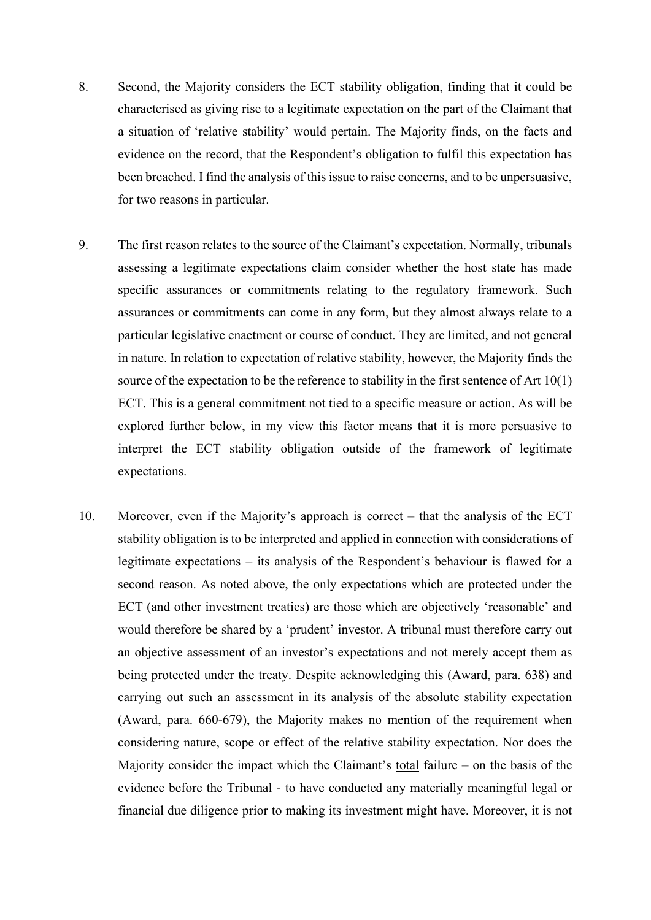- 8. Second, the Majority considers the ECT stability obligation, finding that it could be characterised as giving rise to a legitimate expectation on the part of the Claimant that a situation of 'relative stability' would pertain. The Majority finds, on the facts and evidence on the record, that the Respondent's obligation to fulfil this expectation has been breached. I find the analysis of this issue to raise concerns, and to be unpersuasive, for two reasons in particular.
- 9. The first reason relates to the source of the Claimant's expectation. Normally, tribunals assessing a legitimate expectations claim consider whether the host state has made specific assurances or commitments relating to the regulatory framework. Such assurances or commitments can come in any form, but they almost always relate to a particular legislative enactment or course of conduct. They are limited, and not general in nature. In relation to expectation of relative stability, however, the Majority finds the source of the expectation to be the reference to stability in the first sentence of Art 10(1) ECT. This is a general commitment not tied to a specific measure or action. As will be explored further below, in my view this factor means that it is more persuasive to interpret the ECT stability obligation outside of the framework of legitimate expectations.
- 10. Moreover, even if the Majority's approach is correct that the analysis of the ECT stability obligation is to be interpreted and applied in connection with considerations of legitimate expectations – its analysis of the Respondent's behaviour is flawed for a second reason. As noted above, the only expectations which are protected under the ECT (and other investment treaties) are those which are objectively 'reasonable' and would therefore be shared by a 'prudent' investor. A tribunal must therefore carry out an objective assessment of an investor's expectations and not merely accept them as being protected under the treaty. Despite acknowledging this (Award, para. 638) and carrying out such an assessment in its analysis of the absolute stability expectation (Award, para. 660-679), the Majority makes no mention of the requirement when considering nature, scope or effect of the relative stability expectation. Nor does the Majority consider the impact which the Claimant's total failure – on the basis of the evidence before the Tribunal - to have conducted any materially meaningful legal or financial due diligence prior to making its investment might have. Moreover, it is not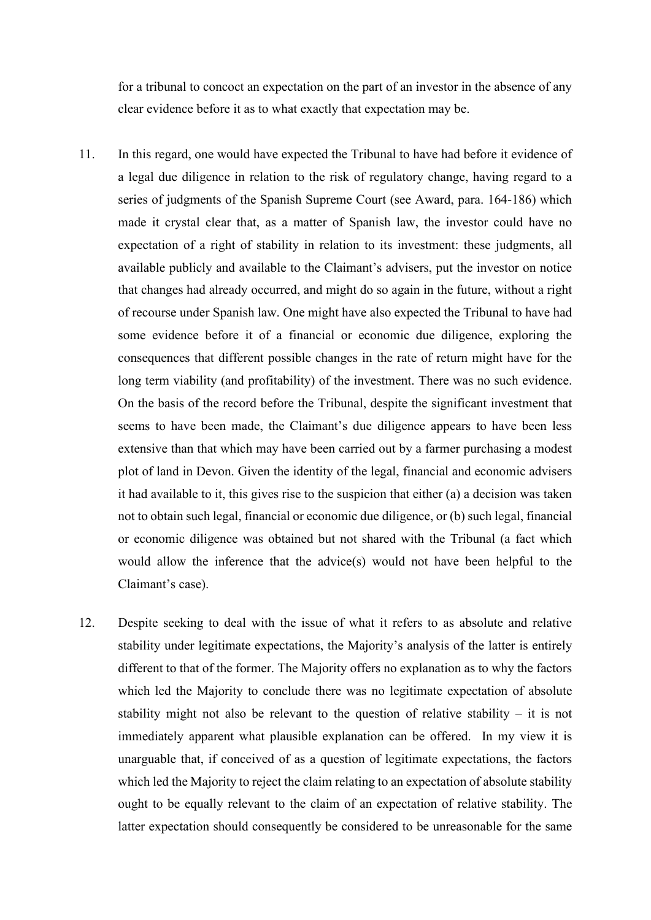for a tribunal to concoct an expectation on the part of an investor in the absence of any clear evidence before it as to what exactly that expectation may be.

- 11. In this regard, one would have expected the Tribunal to have had before it evidence of a legal due diligence in relation to the risk of regulatory change, having regard to a series of judgments of the Spanish Supreme Court (see Award, para. 164-186) which made it crystal clear that, as a matter of Spanish law, the investor could have no expectation of a right of stability in relation to its investment: these judgments, all available publicly and available to the Claimant's advisers, put the investor on notice that changes had already occurred, and might do so again in the future, without a right of recourse under Spanish law. One might have also expected the Tribunal to have had some evidence before it of a financial or economic due diligence, exploring the consequences that different possible changes in the rate of return might have for the long term viability (and profitability) of the investment. There was no such evidence. On the basis of the record before the Tribunal, despite the significant investment that seems to have been made, the Claimant's due diligence appears to have been less extensive than that which may have been carried out by a farmer purchasing a modest plot of land in Devon. Given the identity of the legal, financial and economic advisers it had available to it, this gives rise to the suspicion that either (a) a decision was taken not to obtain such legal, financial or economic due diligence, or (b) such legal, financial or economic diligence was obtained but not shared with the Tribunal (a fact which would allow the inference that the advice(s) would not have been helpful to the Claimant's case).
- 12. Despite seeking to deal with the issue of what it refers to as absolute and relative stability under legitimate expectations, the Majority's analysis of the latter is entirely different to that of the former. The Majority offers no explanation as to why the factors which led the Majority to conclude there was no legitimate expectation of absolute stability might not also be relevant to the question of relative stability – it is not immediately apparent what plausible explanation can be offered. In my view it is unarguable that, if conceived of as a question of legitimate expectations, the factors which led the Majority to reject the claim relating to an expectation of absolute stability ought to be equally relevant to the claim of an expectation of relative stability. The latter expectation should consequently be considered to be unreasonable for the same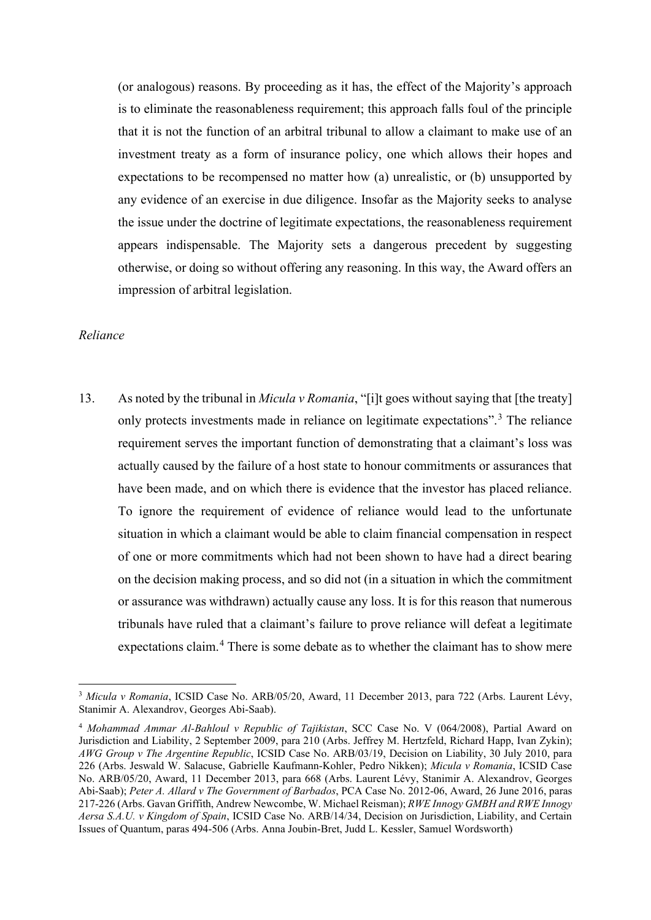(or analogous) reasons. By proceeding as it has, the effect of the Majority's approach is to eliminate the reasonableness requirement; this approach falls foul of the principle that it is not the function of an arbitral tribunal to allow a claimant to make use of an investment treaty as a form of insurance policy, one which allows their hopes and expectations to be recompensed no matter how (a) unrealistic, or (b) unsupported by any evidence of an exercise in due diligence. Insofar as the Majority seeks to analyse the issue under the doctrine of legitimate expectations, the reasonableness requirement appears indispensable. The Majority sets a dangerous precedent by suggesting otherwise, or doing so without offering any reasoning. In this way, the Award offers an impression of arbitral legislation.

### *Reliance*

13. As noted by the tribunal in *Micula v Romania*, "[i]t goes without saying that [the treaty] only protects investments made in reliance on legitimate expectations".<sup>[3](#page-5-0)</sup> The reliance requirement serves the important function of demonstrating that a claimant's loss was actually caused by the failure of a host state to honour commitments or assurances that have been made, and on which there is evidence that the investor has placed reliance. To ignore the requirement of evidence of reliance would lead to the unfortunate situation in which a claimant would be able to claim financial compensation in respect of one or more commitments which had not been shown to have had a direct bearing on the decision making process, and so did not (in a situation in which the commitment or assurance was withdrawn) actually cause any loss. It is for this reason that numerous tribunals have ruled that a claimant's failure to prove reliance will defeat a legitimate expectations claim.<sup>[4](#page-5-1)</sup> There is some debate as to whether the claimant has to show mere

<span id="page-5-0"></span><sup>3</sup> *Micula v Romania*, ICSID Case No. ARB/05/20, Award, 11 December 2013, para 722 (Arbs. Laurent Lévy, Stanimir A. Alexandrov, Georges Abi-Saab).

<span id="page-5-1"></span><sup>4</sup> *Mohammad Ammar Al-Bahloul v Republic of Tajikistan*, SCC Case No. V (064/2008), Partial Award on Jurisdiction and Liability, 2 September 2009, para 210 (Arbs. Jeffrey M. Hertzfeld, Richard Happ, Ivan Zykin); *AWG Group v The Argentine Republic*, ICSID Case No. ARB/03/19, Decision on Liability, 30 July 2010, para 226 (Arbs. Jeswald W. Salacuse, Gabrielle Kaufmann-Kohler, Pedro Nikken); *Micula v Romania*, ICSID Case No. ARB/05/20, Award, 11 December 2013, para 668 (Arbs. Laurent Lévy, Stanimir A. Alexandrov, Georges Abi-Saab); *Peter A. Allard v The Government of Barbados*, PCA Case No. 2012-06, Award, 26 June 2016, paras 217-226 (Arbs. Gavan Griffith, Andrew Newcombe, W. Michael Reisman); *RWE Innogy GMBH and RWE Innogy Aersa S.A.U. v Kingdom of Spain*, ICSID Case No. ARB/14/34, Decision on Jurisdiction, Liability, and Certain Issues of Quantum, paras 494-506 (Arbs. Anna Joubin-Bret, Judd L. Kessler, Samuel Wordsworth)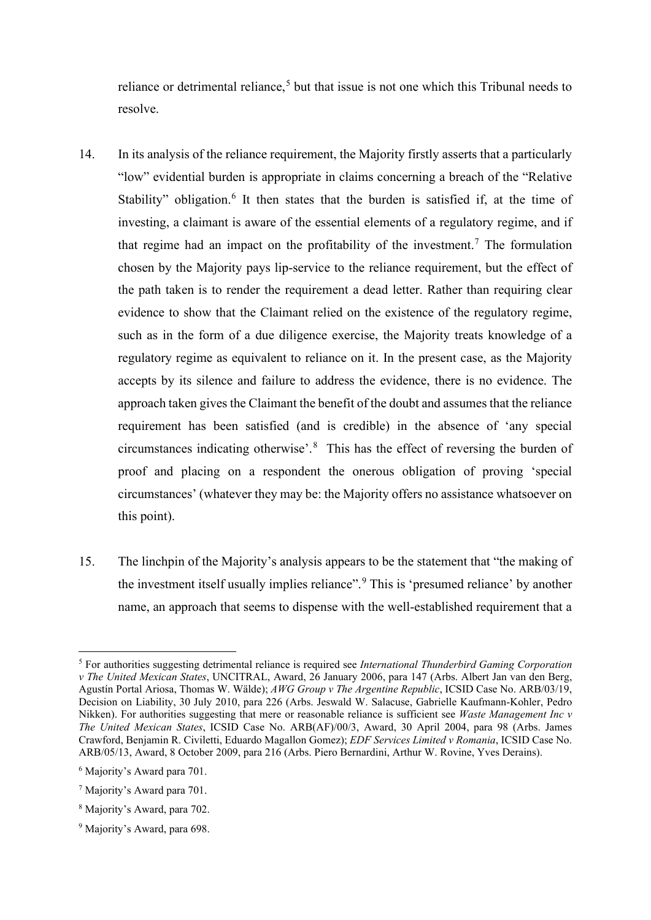reliance or detrimental reliance,<sup>[5](#page-6-0)</sup> but that issue is not one which this Tribunal needs to resolve.

- 14. In its analysis of the reliance requirement, the Majority firstly asserts that a particularly "low" evidential burden is appropriate in claims concerning a breach of the "Relative Stability" obligation.<sup>[6](#page-6-1)</sup> It then states that the burden is satisfied if, at the time of investing, a claimant is aware of the essential elements of a regulatory regime, and if that regime had an impact on the profitability of the investment.<sup>[7](#page-6-2)</sup> The formulation chosen by the Majority pays lip-service to the reliance requirement, but the effect of the path taken is to render the requirement a dead letter. Rather than requiring clear evidence to show that the Claimant relied on the existence of the regulatory regime, such as in the form of a due diligence exercise, the Majority treats knowledge of a regulatory regime as equivalent to reliance on it. In the present case, as the Majority accepts by its silence and failure to address the evidence, there is no evidence. The approach taken gives the Claimant the benefit of the doubt and assumes that the reliance requirement has been satisfied (and is credible) in the absence of 'any special circumstances indicating otherwise'.[8](#page-6-3) This has the effect of reversing the burden of proof and placing on a respondent the onerous obligation of proving 'special circumstances' (whatever they may be: the Majority offers no assistance whatsoever on this point).
- 15. The linchpin of the Majority's analysis appears to be the statement that "the making of the investment itself usually implies reliance".[9](#page-6-4) This is 'presumed reliance' by another name, an approach that seems to dispense with the well-established requirement that a

<span id="page-6-0"></span><sup>5</sup> For authorities suggesting detrimental reliance is required see *International Thunderbird Gaming Corporation v The United Mexican States*, UNCITRAL, Award, 26 January 2006, para 147 (Arbs. Albert Jan van den Berg, Agustín Portal Ariosa, Thomas W. Wälde); *AWG Group v The Argentine Republic*, ICSID Case No. ARB/03/19, Decision on Liability, 30 July 2010, para 226 (Arbs. Jeswald W. Salacuse, Gabrielle Kaufmann-Kohler, Pedro Nikken). For authorities suggesting that mere or reasonable reliance is sufficient see *Waste Management Inc v The United Mexican States*, ICSID Case No. ARB(AF)/00/3, Award, 30 April 2004, para 98 (Arbs. James Crawford, Benjamin R. Civiletti, Eduardo Magallon Gomez); *EDF Services Limited v Romania*, ICSID Case No. ARB/05/13, Award, 8 October 2009, para 216 (Arbs. Piero Bernardini, Arthur W. Rovine, Yves Derains).

<span id="page-6-1"></span><sup>6</sup> Majority's Award para 701.

<span id="page-6-2"></span><sup>7</sup> Majority's Award para 701.

<span id="page-6-3"></span><sup>8</sup> Majority's Award, para 702.

<span id="page-6-4"></span><sup>9</sup> Majority's Award, para 698.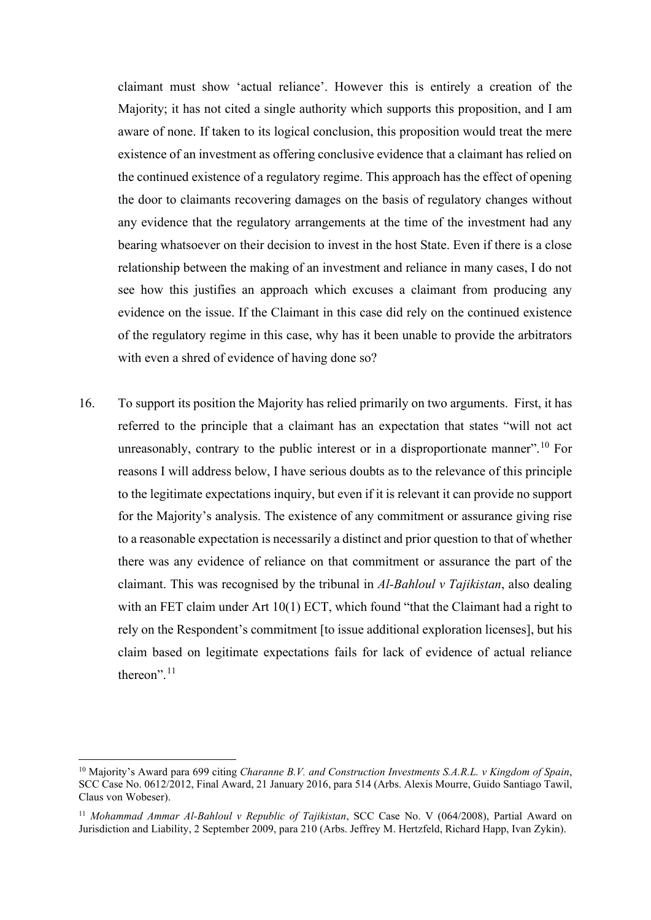claimant must show 'actual reliance'. However this is entirely a creation of the Majority; it has not cited a single authority which supports this proposition, and I am aware of none. If taken to its logical conclusion, this proposition would treat the mere existence of an investment as offering conclusive evidence that a claimant has relied on the continued existence of a regulatory regime. This approach has the effect of opening the door to claimants recovering damages on the basis of regulatory changes without any evidence that the regulatory arrangements at the time of the investment had any bearing whatsoever on their decision to invest in the host State. Even if there is a close relationship between the making of an investment and reliance in many cases, I do not see how this justifies an approach which excuses a claimant from producing any evidence on the issue. If the Claimant in this case did rely on the continued existence of the regulatory regime in this case, why has it been unable to provide the arbitrators with even a shred of evidence of having done so?

16. To support its position the Majority has relied primarily on two arguments. First, it has referred to the principle that a claimant has an expectation that states "will not act unreasonably, contrary to the public interest or in a disproportionate manner".<sup>[10](#page-7-0)</sup> For reasons I will address below, I have serious doubts as to the relevance of this principle to the legitimate expectations inquiry, but even if it is relevant it can provide no support for the Majority's analysis. The existence of any commitment or assurance giving rise to a reasonable expectation is necessarily a distinct and prior question to that of whether there was any evidence of reliance on that commitment or assurance the part of the claimant. This was recognised by the tribunal in *Al-Bahloul v Tajikistan*, also dealing with an FET claim under Art 10(1) ECT, which found "that the Claimant had a right to rely on the Respondent's commitment [to issue additional exploration licenses], but his claim based on legitimate expectations fails for lack of evidence of actual reliance thereon".<sup>[11](#page-7-1)</sup>

<span id="page-7-0"></span><sup>10</sup> Majority's Award para 699 citing *Charanne B.V. and Construction Investments S.A.R.L. v Kingdom of Spain*, SCC Case No. 0612/2012, Final Award, 21 January 2016, para 514 (Arbs. Alexis Mourre, Guido Santiago Tawil, Claus von Wobeser).

<span id="page-7-1"></span><sup>11</sup> *Mohammad Ammar Al-Bahloul v Republic of Tajikistan*, SCC Case No. V (064/2008), Partial Award on Jurisdiction and Liability, 2 September 2009, para 210 (Arbs. Jeffrey M. Hertzfeld, Richard Happ, Ivan Zykin).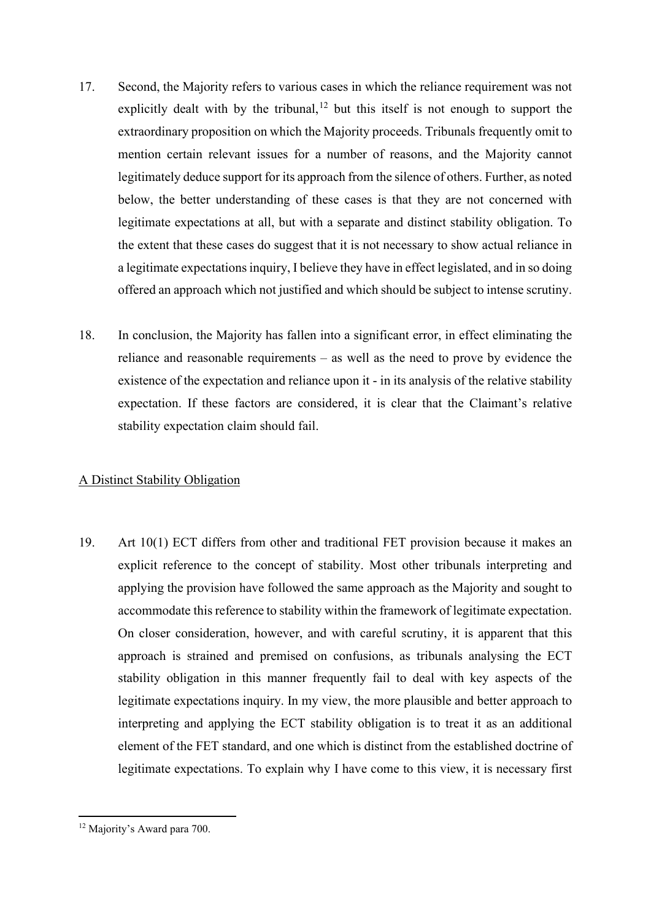- 17. Second, the Majority refers to various cases in which the reliance requirement was not explicitly dealt with by the tribunal,  $12$  but this itself is not enough to support the extraordinary proposition on which the Majority proceeds. Tribunals frequently omit to mention certain relevant issues for a number of reasons, and the Majority cannot legitimately deduce support for its approach from the silence of others. Further, as noted below, the better understanding of these cases is that they are not concerned with legitimate expectations at all, but with a separate and distinct stability obligation. To the extent that these cases do suggest that it is not necessary to show actual reliance in a legitimate expectations inquiry, I believe they have in effect legislated, and in so doing offered an approach which not justified and which should be subject to intense scrutiny.
- 18. In conclusion, the Majority has fallen into a significant error, in effect eliminating the reliance and reasonable requirements – as well as the need to prove by evidence the existence of the expectation and reliance upon it - in its analysis of the relative stability expectation. If these factors are considered, it is clear that the Claimant's relative stability expectation claim should fail.

# A Distinct Stability Obligation

19. Art 10(1) ECT differs from other and traditional FET provision because it makes an explicit reference to the concept of stability. Most other tribunals interpreting and applying the provision have followed the same approach as the Majority and sought to accommodate this reference to stability within the framework of legitimate expectation. On closer consideration, however, and with careful scrutiny, it is apparent that this approach is strained and premised on confusions, as tribunals analysing the ECT stability obligation in this manner frequently fail to deal with key aspects of the legitimate expectations inquiry. In my view, the more plausible and better approach to interpreting and applying the ECT stability obligation is to treat it as an additional element of the FET standard, and one which is distinct from the established doctrine of legitimate expectations. To explain why I have come to this view, it is necessary first

<span id="page-8-0"></span><sup>12</sup> Majority's Award para 700.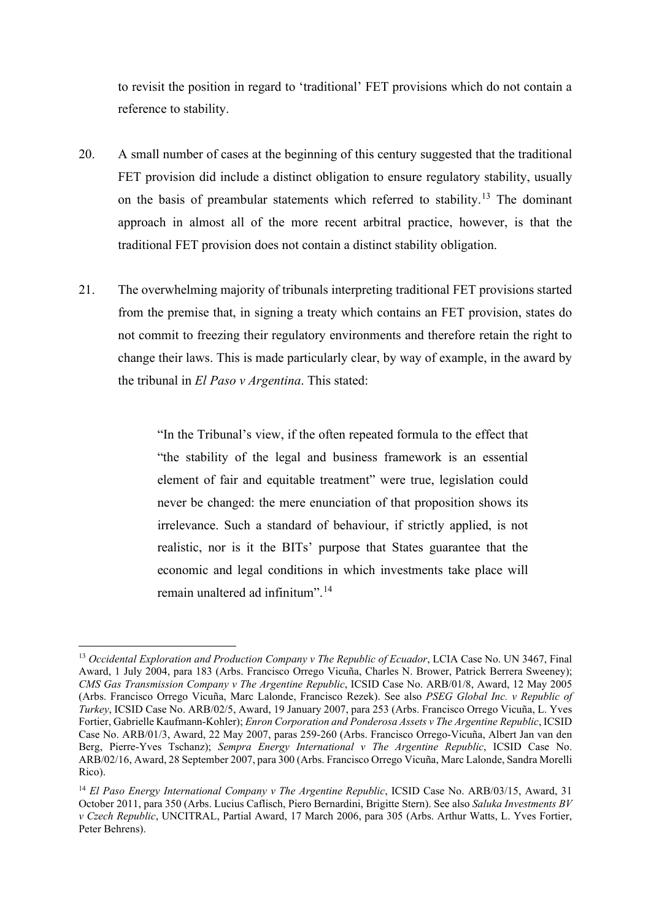to revisit the position in regard to 'traditional' FET provisions which do not contain a reference to stability.

- 20. A small number of cases at the beginning of this century suggested that the traditional FET provision did include a distinct obligation to ensure regulatory stability, usually on the basis of preambular statements which referred to stability.<sup>[13](#page-9-0)</sup> The dominant approach in almost all of the more recent arbitral practice, however, is that the traditional FET provision does not contain a distinct stability obligation.
- 21. The overwhelming majority of tribunals interpreting traditional FET provisions started from the premise that, in signing a treaty which contains an FET provision, states do not commit to freezing their regulatory environments and therefore retain the right to change their laws. This is made particularly clear, by way of example, in the award by the tribunal in *El Paso v Argentina*. This stated:

"In the Tribunal's view, if the often repeated formula to the effect that "the stability of the legal and business framework is an essential element of fair and equitable treatment" were true, legislation could never be changed: the mere enunciation of that proposition shows its irrelevance. Such a standard of behaviour, if strictly applied, is not realistic, nor is it the BITs' purpose that States guarantee that the economic and legal conditions in which investments take place will remain unaltered ad infinitum".[14](#page-9-1)

<span id="page-9-0"></span><sup>&</sup>lt;sup>13</sup> Occidental Exploration and Production Company v The Republic of Ecuador, LCIA Case No. UN 3467, Final Award, 1 July 2004, para 183 (Arbs. Francisco Orrego Vicuña, Charles N. Brower, Patrick Berrera Sweeney); *CMS Gas Transmission Company v The Argentine Republic*, ICSID Case No. ARB/01/8, Award, 12 May 2005 (Arbs. Francisco Orrego Vicuña, Marc Lalonde, Francisco Rezek). See also *PSEG Global Inc. v Republic of Turkey*, ICSID Case No. ARB/02/5, Award, 19 January 2007, para 253 (Arbs. Francisco Orrego Vicuña, L. Yves Fortier, Gabrielle Kaufmann-Kohler); *Enron Corporation and Ponderosa Assets v The Argentine Republic*, ICSID Case No. ARB/01/3, Award, 22 May 2007, paras 259-260 (Arbs. Francisco Orrego-Vicuña, Albert Jan van den Berg, Pierre-Yves Tschanz); *Sempra Energy International v The Argentine Republic*, ICSID Case No. ARB/02/16, Award, 28 September 2007, para 300 (Arbs. Francisco Orrego Vicuña, Marc Lalonde, Sandra Morelli Rico).

<span id="page-9-1"></span><sup>&</sup>lt;sup>14</sup> El Paso Energy International Company v The Argentine Republic, ICSID Case No. ARB/03/15, Award, 31 October 2011, para 350 (Arbs. Lucius Caflisch, Piero Bernardini, Brigitte Stern). See also *Saluka Investments BV v Czech Republic*, UNCITRAL, Partial Award, 17 March 2006, para 305 (Arbs. Arthur Watts, L. Yves Fortier, Peter Behrens).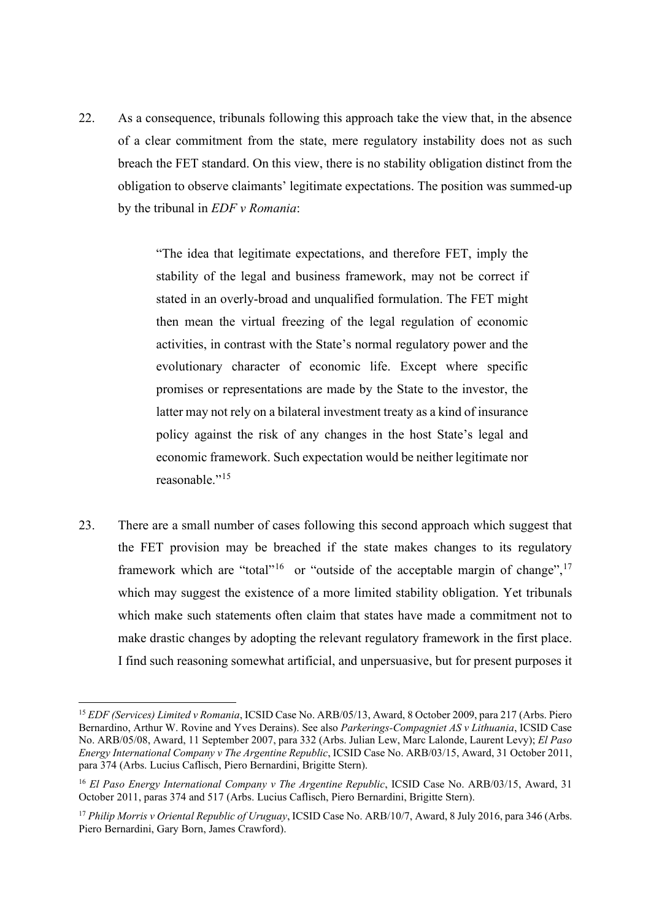22. As a consequence, tribunals following this approach take the view that, in the absence of a clear commitment from the state, mere regulatory instability does not as such breach the FET standard. On this view, there is no stability obligation distinct from the obligation to observe claimants' legitimate expectations. The position was summed-up by the tribunal in *EDF v Romania*:

> "The idea that legitimate expectations, and therefore FET, imply the stability of the legal and business framework, may not be correct if stated in an overly-broad and unqualified formulation. The FET might then mean the virtual freezing of the legal regulation of economic activities, in contrast with the State's normal regulatory power and the evolutionary character of economic life. Except where specific promises or representations are made by the State to the investor, the latter may not rely on a bilateral investment treaty as a kind of insurance policy against the risk of any changes in the host State's legal and economic framework. Such expectation would be neither legitimate nor reasonable."<sup>[15](#page-10-0)</sup>

23. There are a small number of cases following this second approach which suggest that the FET provision may be breached if the state makes changes to its regulatory framework which are "total"<sup>16</sup> or "outside of the acceptable margin of change",<sup>[17](#page-10-2)</sup> which may suggest the existence of a more limited stability obligation. Yet tribunals which make such statements often claim that states have made a commitment not to make drastic changes by adopting the relevant regulatory framework in the first place. I find such reasoning somewhat artificial, and unpersuasive, but for present purposes it

<span id="page-10-0"></span><sup>15</sup> *EDF (Services) Limited v Romania*, ICSID Case No. ARB/05/13, Award, 8 October 2009, para 217 (Arbs. Piero Bernardino, Arthur W. Rovine and Yves Derains). See also *Parkerings-Compagniet AS v Lithuania*, ICSID Case No. ARB/05/08, Award, 11 September 2007, para 332 (Arbs. Julian Lew, Marc Lalonde, Laurent Levy); *El Paso Energy International Company v The Argentine Republic*, ICSID Case No. ARB/03/15, Award, 31 October 2011, para 374 (Arbs. Lucius Caflisch, Piero Bernardini, Brigitte Stern).

<span id="page-10-1"></span><sup>16</sup> *El Paso Energy International Company v The Argentine Republic*, ICSID Case No. ARB/03/15, Award, 31 October 2011, paras 374 and 517 (Arbs. Lucius Caflisch, Piero Bernardini, Brigitte Stern).

<span id="page-10-2"></span><sup>17</sup> *Philip Morris v Oriental Republic of Uruguay*, ICSID Case No. ARB/10/7, Award, 8 July 2016, para 346 (Arbs. Piero Bernardini, Gary Born, James Crawford).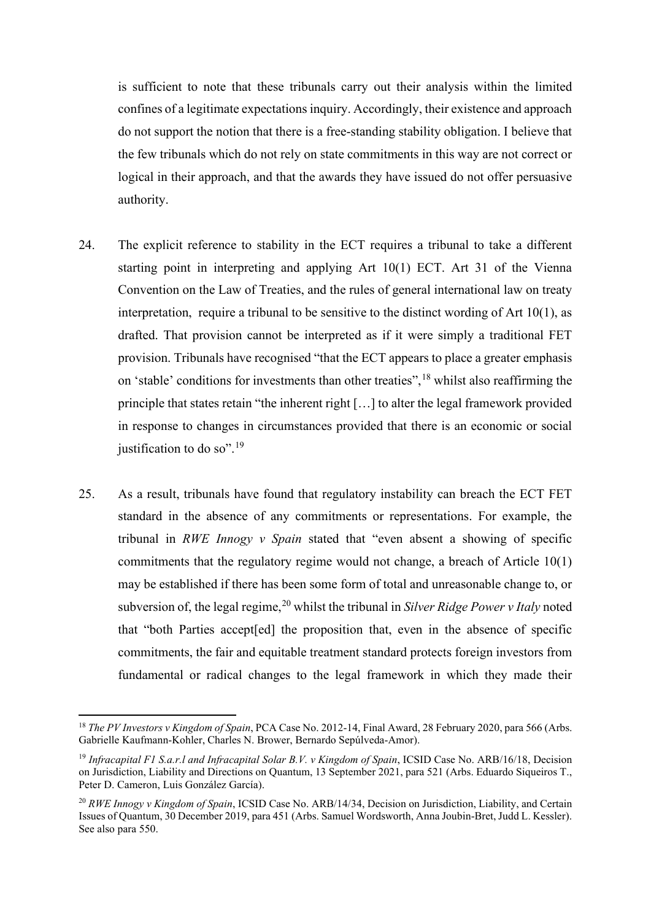is sufficient to note that these tribunals carry out their analysis within the limited confines of a legitimate expectations inquiry. Accordingly, their existence and approach do not support the notion that there is a free-standing stability obligation. I believe that the few tribunals which do not rely on state commitments in this way are not correct or logical in their approach, and that the awards they have issued do not offer persuasive authority.

- 24. The explicit reference to stability in the ECT requires a tribunal to take a different starting point in interpreting and applying Art 10(1) ECT. Art 31 of the Vienna Convention on the Law of Treaties, and the rules of general international law on treaty interpretation, require a tribunal to be sensitive to the distinct wording of Art 10(1), as drafted. That provision cannot be interpreted as if it were simply a traditional FET provision. Tribunals have recognised "that the ECT appears to place a greater emphasis on 'stable' conditions for investments than other treaties",<sup>[18](#page-11-0)</sup> whilst also reaffirming the principle that states retain "the inherent right […] to alter the legal framework provided in response to changes in circumstances provided that there is an economic or social justification to do so".<sup>[19](#page-11-1)</sup>
- 25. As a result, tribunals have found that regulatory instability can breach the ECT FET standard in the absence of any commitments or representations. For example, the tribunal in *RWE Innogy v Spain* stated that "even absent a showing of specific commitments that the regulatory regime would not change, a breach of Article 10(1) may be established if there has been some form of total and unreasonable change to, or subversion of, the legal regime,<sup>[20](#page-11-2)</sup> whilst the tribunal in *Silver Ridge Power v Italy* noted that "both Parties accept[ed] the proposition that, even in the absence of specific commitments, the fair and equitable treatment standard protects foreign investors from fundamental or radical changes to the legal framework in which they made their

<span id="page-11-0"></span><sup>18</sup> *The PV Investors v Kingdom of Spain*, PCA Case No. 2012-14, Final Award, 28 February 2020, para 566 (Arbs. Gabrielle Kaufmann-Kohler, Charles N. Brower, Bernardo Sepúlveda-Amor).

<span id="page-11-1"></span><sup>19</sup> *Infracapital F1 S.a.r.l and Infracapital Solar B.V. v Kingdom of Spain*, ICSID Case No. ARB/16/18, Decision on Jurisdiction, Liability and Directions on Quantum, 13 September 2021, para 521 (Arbs. Eduardo Siqueiros T., Peter D. Cameron, Luis González García).

<span id="page-11-2"></span><sup>20</sup> *RWE Innogy v Kingdom of Spain*, ICSID Case No. ARB/14/34, Decision on Jurisdiction, Liability, and Certain Issues of Quantum, 30 December 2019, para 451 (Arbs. Samuel Wordsworth, Anna Joubin-Bret, Judd L. Kessler). See also para 550.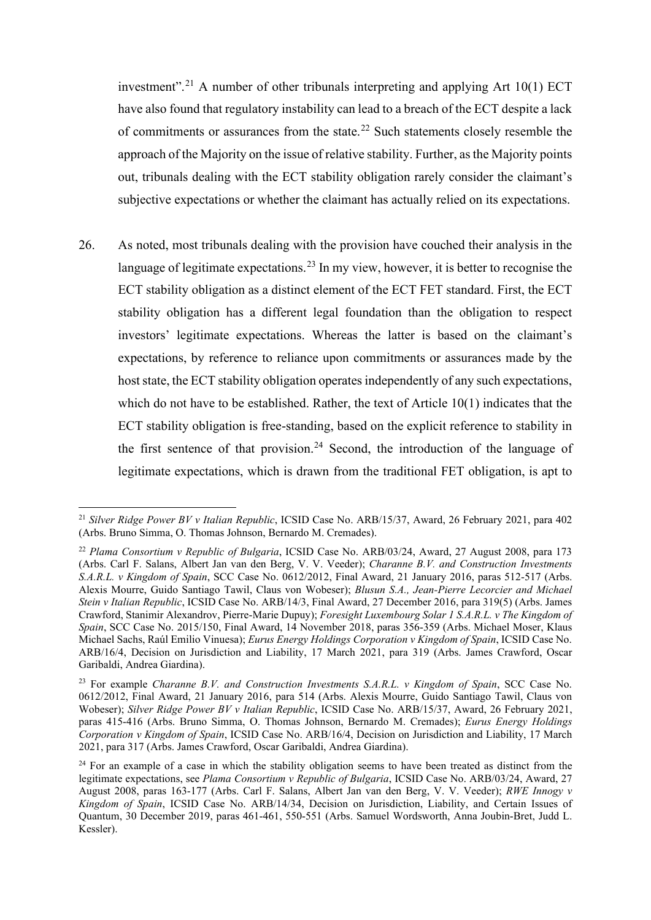investment".<sup>[21](#page-12-0)</sup> A number of other tribunals interpreting and applying Art  $10(1)$  ECT have also found that regulatory instability can lead to a breach of the ECT despite a lack of commitments or assurances from the state.[22](#page-12-1) Such statements closely resemble the approach of the Majority on the issue of relative stability. Further, as the Majority points out, tribunals dealing with the ECT stability obligation rarely consider the claimant's subjective expectations or whether the claimant has actually relied on its expectations.

26. As noted, most tribunals dealing with the provision have couched their analysis in the language of legitimate expectations.<sup>[23](#page-12-2)</sup> In my view, however, it is better to recognise the ECT stability obligation as a distinct element of the ECT FET standard. First, the ECT stability obligation has a different legal foundation than the obligation to respect investors' legitimate expectations. Whereas the latter is based on the claimant's expectations, by reference to reliance upon commitments or assurances made by the host state, the ECT stability obligation operates independently of any such expectations, which do not have to be established. Rather, the text of Article 10(1) indicates that the ECT stability obligation is free-standing, based on the explicit reference to stability in the first sentence of that provision.<sup>[24](#page-12-3)</sup> Second, the introduction of the language of legitimate expectations, which is drawn from the traditional FET obligation, is apt to

<span id="page-12-0"></span><sup>21</sup> *Silver Ridge Power BV v Italian Republic*, ICSID Case No. ARB/15/37, Award, 26 February 2021, para 402 (Arbs. Bruno Simma, O. Thomas Johnson, Bernardo M. Cremades).

<span id="page-12-1"></span><sup>22</sup> *Plama Consortium v Republic of Bulgaria*, ICSID Case No. ARB/03/24, Award, 27 August 2008, para 173 (Arbs. Carl F. Salans, Albert Jan van den Berg, V. V. Veeder); *Charanne B.V. and Construction Investments S.A.R.L. v Kingdom of Spain*, SCC Case No. 0612/2012, Final Award, 21 January 2016, paras 512-517 (Arbs. Alexis Mourre, Guido Santiago Tawil, Claus von Wobeser); *Blusun S.A., Jean-Pierre Lecorcier and Michael Stein v Italian Republic*, ICSID Case No. ARB/14/3, Final Award, 27 December 2016, para 319(5) (Arbs. James Crawford, Stanimir Alexandrov, Pierre-Marie Dupuy); *Foresight Luxembourg Solar 1 S.A.R.L. v The Kingdom of Spain*, SCC Case No. 2015/150, Final Award, 14 November 2018, paras 356-359 (Arbs. Michael Moser, Klaus Michael Sachs, Raúl Emilio Vinuesa); *Eurus Energy Holdings Corporation v Kingdom of Spain*, ICSID Case No. ARB/16/4, Decision on Jurisdiction and Liability, 17 March 2021, para 319 (Arbs. James Crawford, Oscar Garibaldi, Andrea Giardina).

<span id="page-12-2"></span><sup>23</sup> For example *Charanne B.V. and Construction Investments S.A.R.L. v Kingdom of Spain*, SCC Case No. 0612/2012, Final Award, 21 January 2016, para 514 (Arbs. Alexis Mourre, Guido Santiago Tawil, Claus von Wobeser); *Silver Ridge Power BV v Italian Republic*, ICSID Case No. ARB/15/37, Award, 26 February 2021, paras 415-416 (Arbs. Bruno Simma, O. Thomas Johnson, Bernardo M. Cremades); *Eurus Energy Holdings Corporation v Kingdom of Spain*, ICSID Case No. ARB/16/4, Decision on Jurisdiction and Liability, 17 March 2021, para 317 (Arbs. James Crawford, Oscar Garibaldi, Andrea Giardina).

<span id="page-12-3"></span><sup>&</sup>lt;sup>24</sup> For an example of a case in which the stability obligation seems to have been treated as distinct from the legitimate expectations, see *Plama Consortium v Republic of Bulgaria*, ICSID Case No. ARB/03/24, Award, 27 August 2008, paras 163-177 (Arbs. Carl F. Salans, Albert Jan van den Berg, V. V. Veeder); *RWE Innogy v Kingdom of Spain*, ICSID Case No. ARB/14/34, Decision on Jurisdiction, Liability, and Certain Issues of Quantum, 30 December 2019, paras 461-461, 550-551 (Arbs. Samuel Wordsworth, Anna Joubin-Bret, Judd L. Kessler).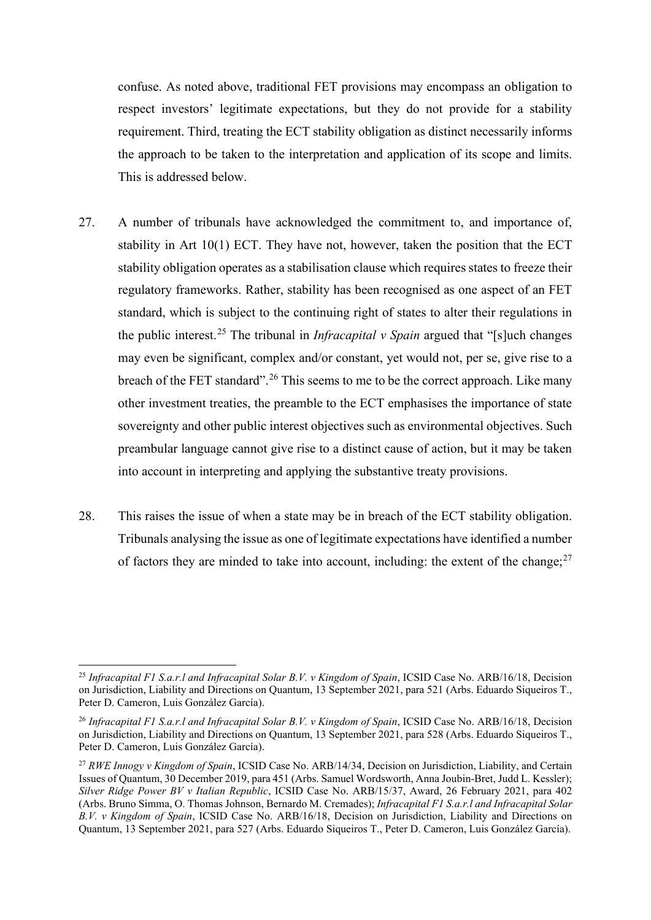confuse. As noted above, traditional FET provisions may encompass an obligation to respect investors' legitimate expectations, but they do not provide for a stability requirement. Third, treating the ECT stability obligation as distinct necessarily informs the approach to be taken to the interpretation and application of its scope and limits. This is addressed below.

- 27. A number of tribunals have acknowledged the commitment to, and importance of, stability in Art 10(1) ECT. They have not, however, taken the position that the ECT stability obligation operates as a stabilisation clause which requires states to freeze their regulatory frameworks. Rather, stability has been recognised as one aspect of an FET standard, which is subject to the continuing right of states to alter their regulations in the public interest.[25](#page-13-0) The tribunal in *Infracapital v Spain* argued that "[s]uch changes may even be significant, complex and/or constant, yet would not, per se, give rise to a breach of the FET standard".<sup>[26](#page-13-1)</sup> This seems to me to be the correct approach. Like many other investment treaties, the preamble to the ECT emphasises the importance of state sovereignty and other public interest objectives such as environmental objectives. Such preambular language cannot give rise to a distinct cause of action, but it may be taken into account in interpreting and applying the substantive treaty provisions.
- 28. This raises the issue of when a state may be in breach of the ECT stability obligation. Tribunals analysing the issue as one of legitimate expectations have identified a number of factors they are minded to take into account, including: the extent of the change; $^{27}$  $^{27}$  $^{27}$

<span id="page-13-0"></span><sup>25</sup> *Infracapital F1 S.a.r.l and Infracapital Solar B.V. v Kingdom of Spain*, ICSID Case No. ARB/16/18, Decision on Jurisdiction, Liability and Directions on Quantum, 13 September 2021, para 521 (Arbs. Eduardo Siqueiros T., Peter D. Cameron, Luis González García).

<span id="page-13-1"></span><sup>26</sup> *Infracapital F1 S.a.r.l and Infracapital Solar B.V. v Kingdom of Spain*, ICSID Case No. ARB/16/18, Decision on Jurisdiction, Liability and Directions on Quantum, 13 September 2021, para 528 (Arbs. Eduardo Siqueiros T., Peter D. Cameron, Luis González García).

<span id="page-13-2"></span><sup>27</sup> *RWE Innogy v Kingdom of Spain*, ICSID Case No. ARB/14/34, Decision on Jurisdiction, Liability, and Certain Issues of Quantum, 30 December 2019, para 451 (Arbs. Samuel Wordsworth, Anna Joubin-Bret, Judd L. Kessler); *Silver Ridge Power BV v Italian Republic*, ICSID Case No. ARB/15/37, Award, 26 February 2021, para 402 (Arbs. Bruno Simma, O. Thomas Johnson, Bernardo M. Cremades); *Infracapital F1 S.a.r.l and Infracapital Solar B.V. v Kingdom of Spain*, ICSID Case No. ARB/16/18, Decision on Jurisdiction, Liability and Directions on Quantum, 13 September 2021, para 527 (Arbs. Eduardo Siqueiros T., Peter D. Cameron, Luis González García).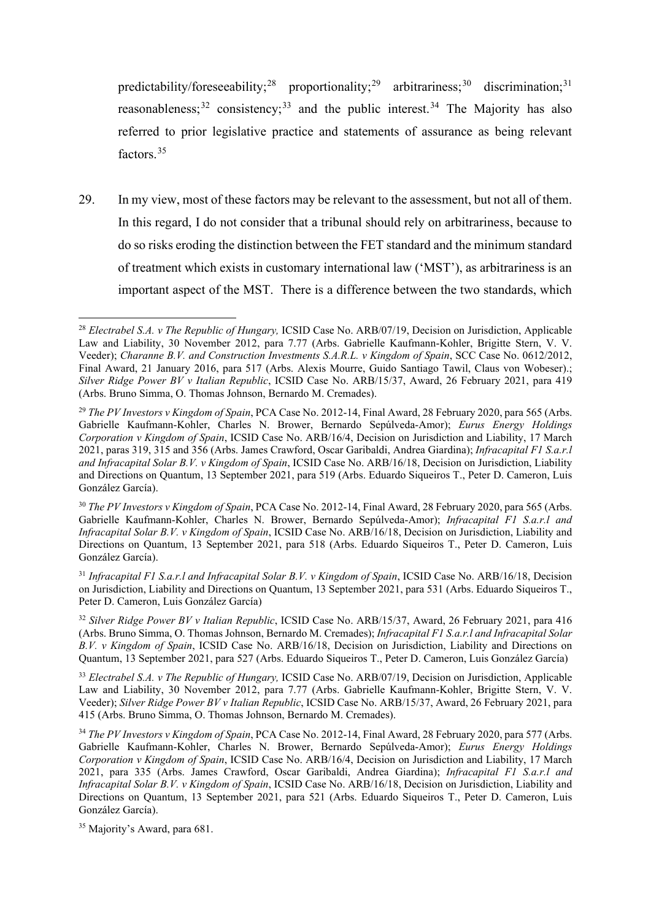predictability/foreseeability;<sup>[28](#page-14-0)</sup> proportionality;<sup>[29](#page-14-1)</sup> arbitrariness;<sup>[30](#page-14-2)</sup> discrimination;<sup>[31](#page-14-3)</sup> reasonableness;<sup>[32](#page-14-4)</sup> consistency;<sup>[33](#page-14-5)</sup> and the public interest.<sup>[34](#page-14-6)</sup> The Majority has also referred to prior legislative practice and statements of assurance as being relevant factors.[35](#page-14-7)

29. In my view, most of these factors may be relevant to the assessment, but not all of them. In this regard, I do not consider that a tribunal should rely on arbitrariness, because to do so risks eroding the distinction between the FET standard and the minimum standard of treatment which exists in customary international law ('MST'), as arbitrariness is an important aspect of the MST. There is a difference between the two standards, which

<span id="page-14-0"></span><sup>&</sup>lt;sup>28</sup> *Electrabel S.A. v The Republic of Hungary*, ICSID Case No. ARB/07/19, Decision on Jurisdiction, Applicable Law and Liability, 30 November 2012, para 7.77 (Arbs. Gabrielle Kaufmann-Kohler, Brigitte Stern, V. V. Veeder); *Charanne B.V. and Construction Investments S.A.R.L. v Kingdom of Spain*, SCC Case No. 0612/2012, Final Award, 21 January 2016, para 517 (Arbs. Alexis Mourre, Guido Santiago Tawil, Claus von Wobeser).; *Silver Ridge Power BV v Italian Republic*, ICSID Case No. ARB/15/37, Award, 26 February 2021, para 419 (Arbs. Bruno Simma, O. Thomas Johnson, Bernardo M. Cremades).

<span id="page-14-1"></span><sup>29</sup> *The PV Investors v Kingdom of Spain*, PCA Case No. 2012-14, Final Award, 28 February 2020, para 565 (Arbs. Gabrielle Kaufmann-Kohler, Charles N. Brower, Bernardo Sepúlveda-Amor); *Eurus Energy Holdings Corporation v Kingdom of Spain*, ICSID Case No. ARB/16/4, Decision on Jurisdiction and Liability, 17 March 2021, paras 319, 315 and 356 (Arbs. James Crawford, Oscar Garibaldi, Andrea Giardina); *Infracapital F1 S.a.r.l and Infracapital Solar B.V. v Kingdom of Spain*, ICSID Case No. ARB/16/18, Decision on Jurisdiction, Liability and Directions on Quantum, 13 September 2021, para 519 (Arbs. Eduardo Siqueiros T., Peter D. Cameron, Luis González García).

<span id="page-14-2"></span><sup>30</sup> *The PV Investors v Kingdom of Spain*, PCA Case No. 2012-14, Final Award, 28 February 2020, para 565 (Arbs. Gabrielle Kaufmann-Kohler, Charles N. Brower, Bernardo Sepúlveda-Amor); *Infracapital F1 S.a.r.l and Infracapital Solar B.V. v Kingdom of Spain*, ICSID Case No. ARB/16/18, Decision on Jurisdiction, Liability and Directions on Quantum, 13 September 2021, para 518 (Arbs. Eduardo Siqueiros T., Peter D. Cameron, Luis González García).

<span id="page-14-3"></span><sup>31</sup> *Infracapital F1 S.a.r.l and Infracapital Solar B.V. v Kingdom of Spain*, ICSID Case No. ARB/16/18, Decision on Jurisdiction, Liability and Directions on Quantum, 13 September 2021, para 531 (Arbs. Eduardo Siqueiros T., Peter D. Cameron, Luis González García)

<span id="page-14-4"></span><sup>32</sup> *Silver Ridge Power BV v Italian Republic*, ICSID Case No. ARB/15/37, Award, 26 February 2021, para 416 (Arbs. Bruno Simma, O. Thomas Johnson, Bernardo M. Cremades); *Infracapital F1 S.a.r.l and Infracapital Solar B.V. v Kingdom of Spain*, ICSID Case No. ARB/16/18, Decision on Jurisdiction, Liability and Directions on Quantum, 13 September 2021, para 527 (Arbs. Eduardo Siqueiros T., Peter D. Cameron, Luis González García)

<span id="page-14-5"></span><sup>33</sup> *Electrabel S.A. v The Republic of Hungary,* ICSID Case No. ARB/07/19, Decision on Jurisdiction, Applicable Law and Liability, 30 November 2012, para 7.77 (Arbs. Gabrielle Kaufmann-Kohler, Brigitte Stern, V. V. Veeder); *Silver Ridge Power BV v Italian Republic*, ICSID Case No. ARB/15/37, Award, 26 February 2021, para 415 (Arbs. Bruno Simma, O. Thomas Johnson, Bernardo M. Cremades).

<span id="page-14-6"></span><sup>34</sup> *The PV Investors v Kingdom of Spain*, PCA Case No. 2012-14, Final Award, 28 February 2020, para 577 (Arbs. Gabrielle Kaufmann-Kohler, Charles N. Brower, Bernardo Sepúlveda-Amor); *Eurus Energy Holdings Corporation v Kingdom of Spain*, ICSID Case No. ARB/16/4, Decision on Jurisdiction and Liability, 17 March 2021, para 335 (Arbs. James Crawford, Oscar Garibaldi, Andrea Giardina); *Infracapital F1 S.a.r.l and Infracapital Solar B.V. v Kingdom of Spain*, ICSID Case No. ARB/16/18, Decision on Jurisdiction, Liability and Directions on Quantum, 13 September 2021, para 521 (Arbs. Eduardo Siqueiros T., Peter D. Cameron, Luis González García).

<span id="page-14-7"></span><sup>35</sup> Majority's Award, para 681.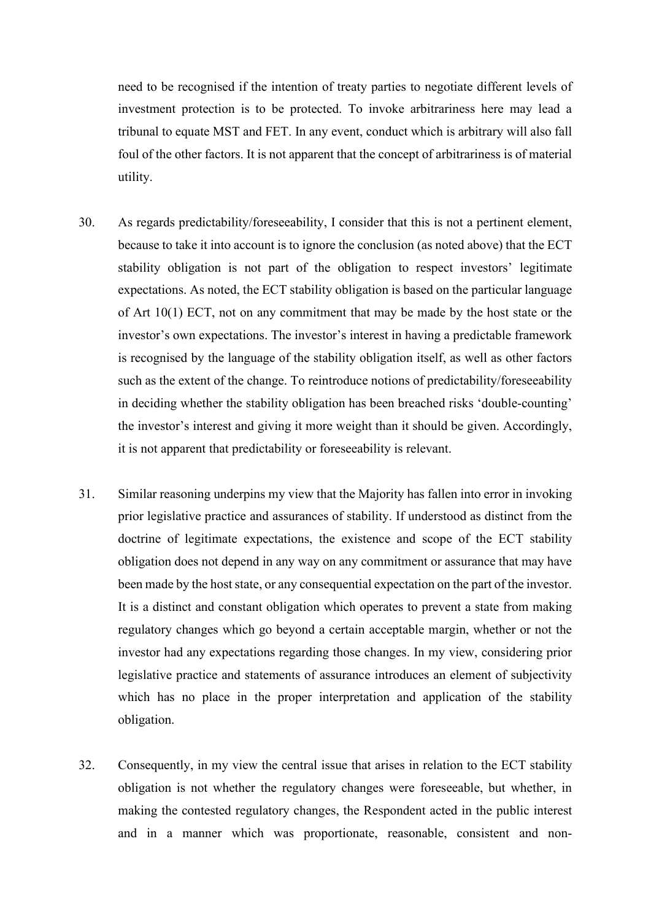need to be recognised if the intention of treaty parties to negotiate different levels of investment protection is to be protected. To invoke arbitrariness here may lead a tribunal to equate MST and FET. In any event, conduct which is arbitrary will also fall foul of the other factors. It is not apparent that the concept of arbitrariness is of material utility.

- 30. As regards predictability/foreseeability, I consider that this is not a pertinent element, because to take it into account is to ignore the conclusion (as noted above) that the ECT stability obligation is not part of the obligation to respect investors' legitimate expectations. As noted, the ECT stability obligation is based on the particular language of Art 10(1) ECT, not on any commitment that may be made by the host state or the investor's own expectations. The investor's interest in having a predictable framework is recognised by the language of the stability obligation itself, as well as other factors such as the extent of the change. To reintroduce notions of predictability/foreseeability in deciding whether the stability obligation has been breached risks 'double-counting' the investor's interest and giving it more weight than it should be given. Accordingly, it is not apparent that predictability or foreseeability is relevant.
- 31. Similar reasoning underpins my view that the Majority has fallen into error in invoking prior legislative practice and assurances of stability. If understood as distinct from the doctrine of legitimate expectations, the existence and scope of the ECT stability obligation does not depend in any way on any commitment or assurance that may have been made by the host state, or any consequential expectation on the part of the investor. It is a distinct and constant obligation which operates to prevent a state from making regulatory changes which go beyond a certain acceptable margin, whether or not the investor had any expectations regarding those changes. In my view, considering prior legislative practice and statements of assurance introduces an element of subjectivity which has no place in the proper interpretation and application of the stability obligation.
- 32. Consequently, in my view the central issue that arises in relation to the ECT stability obligation is not whether the regulatory changes were foreseeable, but whether, in making the contested regulatory changes, the Respondent acted in the public interest and in a manner which was proportionate, reasonable, consistent and non-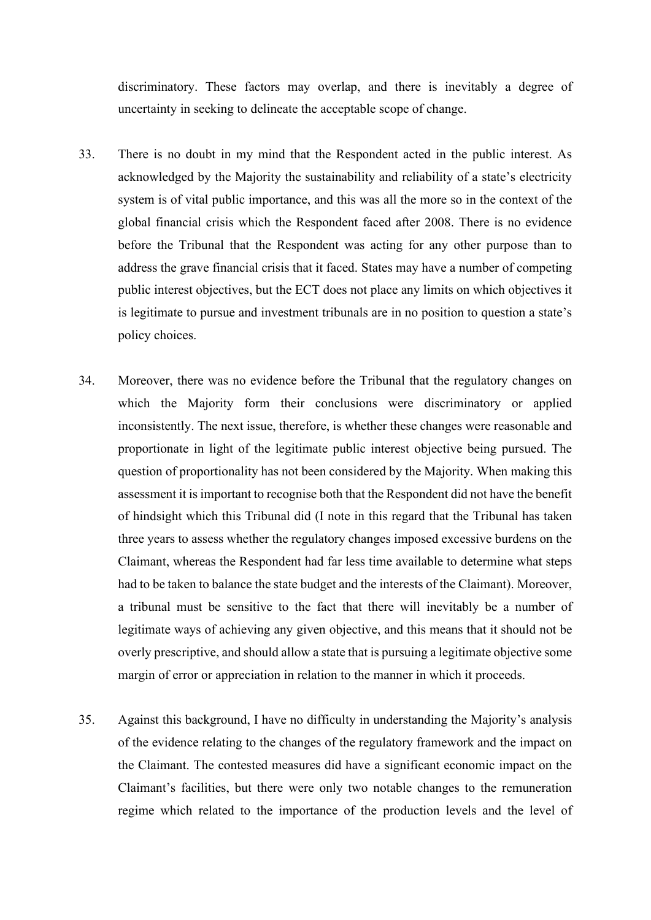discriminatory. These factors may overlap, and there is inevitably a degree of uncertainty in seeking to delineate the acceptable scope of change.

- 33. There is no doubt in my mind that the Respondent acted in the public interest. As acknowledged by the Majority the sustainability and reliability of a state's electricity system is of vital public importance, and this was all the more so in the context of the global financial crisis which the Respondent faced after 2008. There is no evidence before the Tribunal that the Respondent was acting for any other purpose than to address the grave financial crisis that it faced. States may have a number of competing public interest objectives, but the ECT does not place any limits on which objectives it is legitimate to pursue and investment tribunals are in no position to question a state's policy choices.
- 34. Moreover, there was no evidence before the Tribunal that the regulatory changes on which the Majority form their conclusions were discriminatory or applied inconsistently. The next issue, therefore, is whether these changes were reasonable and proportionate in light of the legitimate public interest objective being pursued. The question of proportionality has not been considered by the Majority. When making this assessment it is important to recognise both that the Respondent did not have the benefit of hindsight which this Tribunal did (I note in this regard that the Tribunal has taken three years to assess whether the regulatory changes imposed excessive burdens on the Claimant, whereas the Respondent had far less time available to determine what steps had to be taken to balance the state budget and the interests of the Claimant). Moreover, a tribunal must be sensitive to the fact that there will inevitably be a number of legitimate ways of achieving any given objective, and this means that it should not be overly prescriptive, and should allow a state that is pursuing a legitimate objective some margin of error or appreciation in relation to the manner in which it proceeds.
- 35. Against this background, I have no difficulty in understanding the Majority's analysis of the evidence relating to the changes of the regulatory framework and the impact on the Claimant. The contested measures did have a significant economic impact on the Claimant's facilities, but there were only two notable changes to the remuneration regime which related to the importance of the production levels and the level of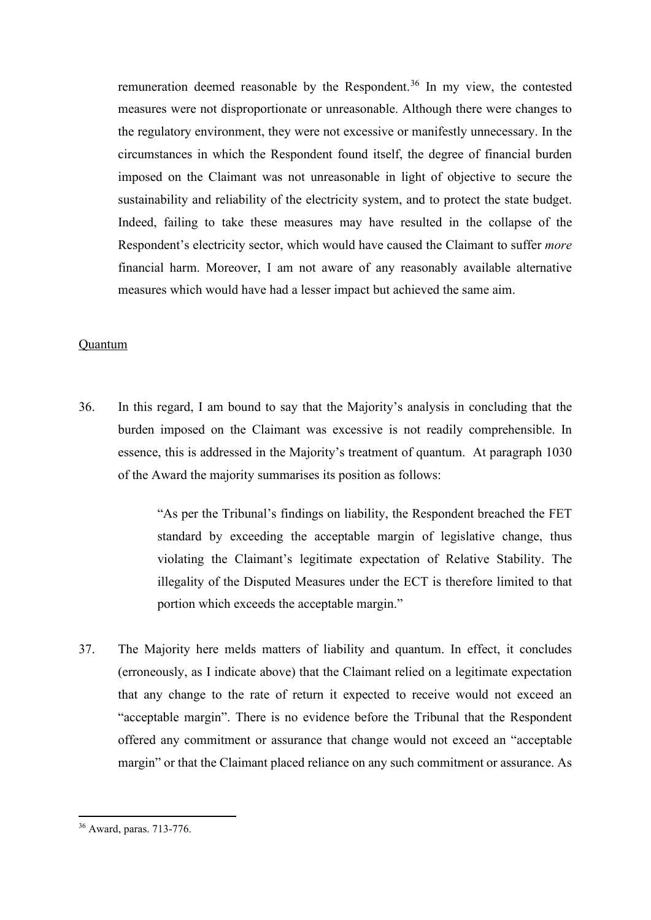remuneration deemed reasonable by the Respondent.[36](#page-17-0) In my view, the contested measures were not disproportionate or unreasonable. Although there were changes to the regulatory environment, they were not excessive or manifestly unnecessary. In the circumstances in which the Respondent found itself, the degree of financial burden imposed on the Claimant was not unreasonable in light of objective to secure the sustainability and reliability of the electricity system, and to protect the state budget. Indeed, failing to take these measures may have resulted in the collapse of the Respondent's electricity sector, which would have caused the Claimant to suffer *more*  financial harm. Moreover, I am not aware of any reasonably available alternative measures which would have had a lesser impact but achieved the same aim.

### Quantum

36. In this regard, I am bound to say that the Majority's analysis in concluding that the burden imposed on the Claimant was excessive is not readily comprehensible. In essence, this is addressed in the Majority's treatment of quantum. At paragraph 1030 of the Award the majority summarises its position as follows:

> "As per the Tribunal's findings on liability, the Respondent breached the FET standard by exceeding the acceptable margin of legislative change, thus violating the Claimant's legitimate expectation of Relative Stability. The illegality of the Disputed Measures under the ECT is therefore limited to that portion which exceeds the acceptable margin."

37. The Majority here melds matters of liability and quantum. In effect, it concludes (erroneously, as I indicate above) that the Claimant relied on a legitimate expectation that any change to the rate of return it expected to receive would not exceed an "acceptable margin". There is no evidence before the Tribunal that the Respondent offered any commitment or assurance that change would not exceed an "acceptable margin" or that the Claimant placed reliance on any such commitment or assurance. As

<span id="page-17-0"></span><sup>36</sup> Award, paras. 713-776.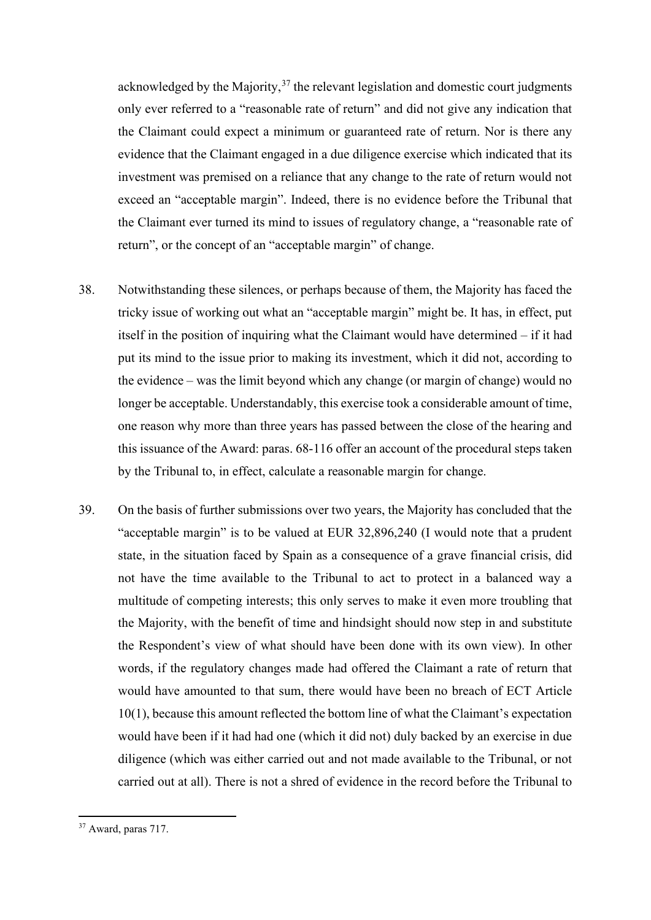acknowledged by the Majority,  $37$  the relevant legislation and domestic court judgments only ever referred to a "reasonable rate of return" and did not give any indication that the Claimant could expect a minimum or guaranteed rate of return. Nor is there any evidence that the Claimant engaged in a due diligence exercise which indicated that its investment was premised on a reliance that any change to the rate of return would not exceed an "acceptable margin". Indeed, there is no evidence before the Tribunal that the Claimant ever turned its mind to issues of regulatory change, a "reasonable rate of return", or the concept of an "acceptable margin" of change.

- 38. Notwithstanding these silences, or perhaps because of them, the Majority has faced the tricky issue of working out what an "acceptable margin" might be. It has, in effect, put itself in the position of inquiring what the Claimant would have determined – if it had put its mind to the issue prior to making its investment, which it did not, according to the evidence – was the limit beyond which any change (or margin of change) would no longer be acceptable. Understandably, this exercise took a considerable amount of time, one reason why more than three years has passed between the close of the hearing and this issuance of the Award: paras. 68-116 offer an account of the procedural steps taken by the Tribunal to, in effect, calculate a reasonable margin for change.
- 39. On the basis of further submissions over two years, the Majority has concluded that the "acceptable margin" is to be valued at EUR 32,896,240 (I would note that a prudent state, in the situation faced by Spain as a consequence of a grave financial crisis, did not have the time available to the Tribunal to act to protect in a balanced way a multitude of competing interests; this only serves to make it even more troubling that the Majority, with the benefit of time and hindsight should now step in and substitute the Respondent's view of what should have been done with its own view). In other words, if the regulatory changes made had offered the Claimant a rate of return that would have amounted to that sum, there would have been no breach of ECT Article 10(1), because this amount reflected the bottom line of what the Claimant's expectation would have been if it had had one (which it did not) duly backed by an exercise in due diligence (which was either carried out and not made available to the Tribunal, or not carried out at all). There is not a shred of evidence in the record before the Tribunal to

<span id="page-18-0"></span><sup>37</sup> Award, paras 717.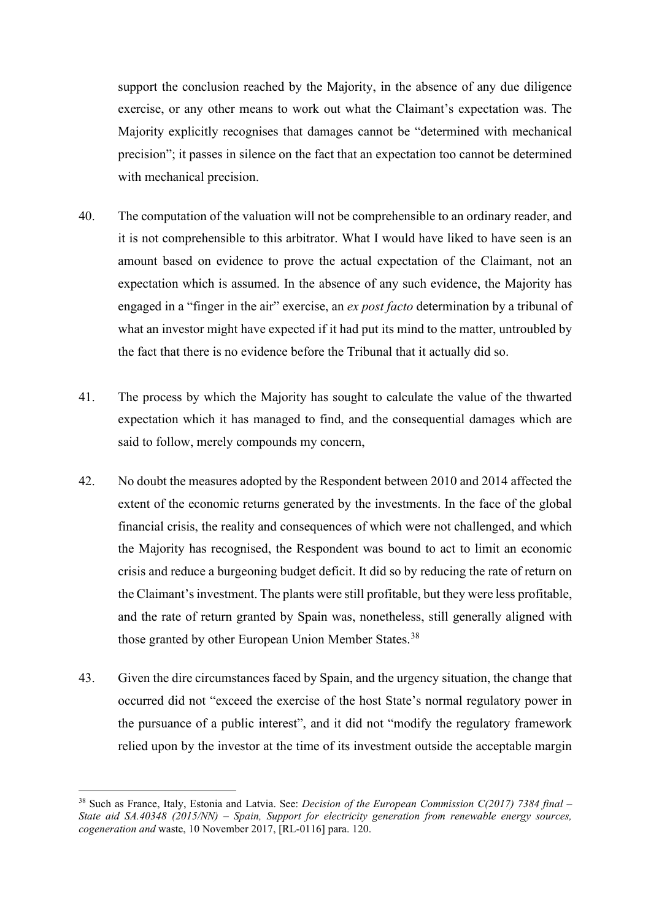support the conclusion reached by the Majority, in the absence of any due diligence exercise, or any other means to work out what the Claimant's expectation was. The Majority explicitly recognises that damages cannot be "determined with mechanical precision"; it passes in silence on the fact that an expectation too cannot be determined with mechanical precision.

- 40. The computation of the valuation will not be comprehensible to an ordinary reader, and it is not comprehensible to this arbitrator. What I would have liked to have seen is an amount based on evidence to prove the actual expectation of the Claimant, not an expectation which is assumed. In the absence of any such evidence, the Majority has engaged in a "finger in the air" exercise, an *ex post facto* determination by a tribunal of what an investor might have expected if it had put its mind to the matter, untroubled by the fact that there is no evidence before the Tribunal that it actually did so.
- 41. The process by which the Majority has sought to calculate the value of the thwarted expectation which it has managed to find, and the consequential damages which are said to follow, merely compounds my concern,
- 42. No doubt the measures adopted by the Respondent between 2010 and 2014 affected the extent of the economic returns generated by the investments. In the face of the global financial crisis, the reality and consequences of which were not challenged, and which the Majority has recognised, the Respondent was bound to act to limit an economic crisis and reduce a burgeoning budget deficit. It did so by reducing the rate of return on the Claimant's investment. The plants were still profitable, but they were less profitable, and the rate of return granted by Spain was, nonetheless, still generally aligned with those granted by other European Union Member States.<sup>[38](#page-19-0)</sup>
- 43. Given the dire circumstances faced by Spain, and the urgency situation, the change that occurred did not "exceed the exercise of the host State's normal regulatory power in the pursuance of a public interest", and it did not "modify the regulatory framework relied upon by the investor at the time of its investment outside the acceptable margin

<span id="page-19-0"></span><sup>38</sup> Such as France, Italy, Estonia and Latvia. See: *Decision of the European Commission C(2017) 7384 final – State aid SA.40348 (2015/NN) – Spain, Support for electricity generation from renewable energy sources, cogeneration and* waste, 10 November 2017, [RL-0116] para. 120.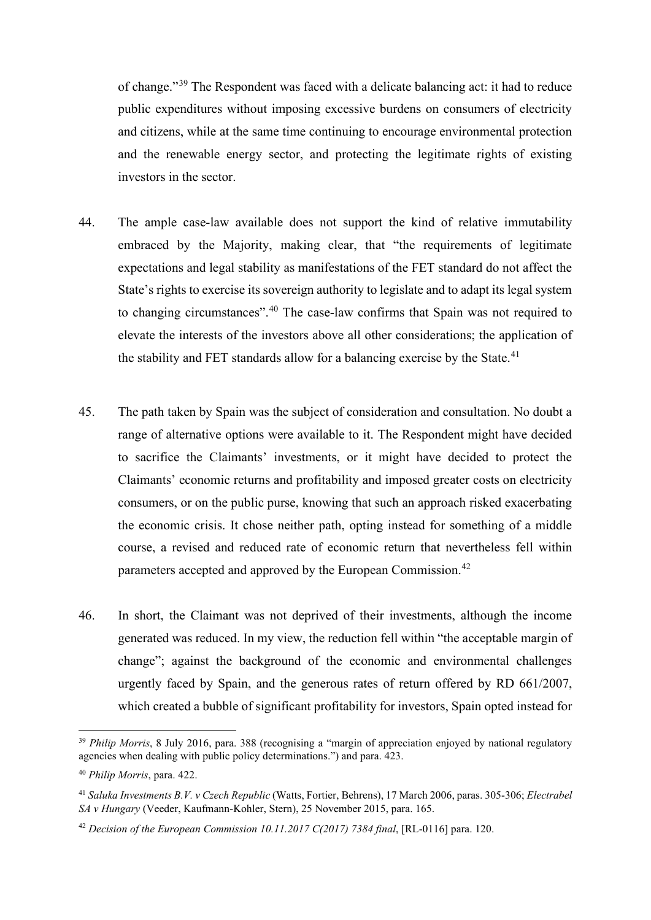of change."[39](#page-20-0) The Respondent was faced with a delicate balancing act: it had to reduce public expenditures without imposing excessive burdens on consumers of electricity and citizens, while at the same time continuing to encourage environmental protection and the renewable energy sector, and protecting the legitimate rights of existing investors in the sector.

- 44. The ample case-law available does not support the kind of relative immutability embraced by the Majority, making clear, that "the requirements of legitimate expectations and legal stability as manifestations of the FET standard do not affect the State's rights to exercise its sovereign authority to legislate and to adapt its legal system to changing circumstances".[40](#page-20-1) The case-law confirms that Spain was not required to elevate the interests of the investors above all other considerations; the application of the stability and FET standards allow for a balancing exercise by the State.<sup>[41](#page-20-2)</sup>
- 45. The path taken by Spain was the subject of consideration and consultation. No doubt a range of alternative options were available to it. The Respondent might have decided to sacrifice the Claimants' investments, or it might have decided to protect the Claimants' economic returns and profitability and imposed greater costs on electricity consumers, or on the public purse, knowing that such an approach risked exacerbating the economic crisis. It chose neither path, opting instead for something of a middle course, a revised and reduced rate of economic return that nevertheless fell within parameters accepted and approved by the European Commission.<sup>[42](#page-20-3)</sup>
- 46. In short, the Claimant was not deprived of their investments, although the income generated was reduced. In my view, the reduction fell within "the acceptable margin of change"; against the background of the economic and environmental challenges urgently faced by Spain, and the generous rates of return offered by RD 661/2007, which created a bubble of significant profitability for investors, Spain opted instead for

<span id="page-20-0"></span><sup>&</sup>lt;sup>39</sup> *Philip Morris*, 8 July 2016, para. 388 (recognising a "margin of appreciation enjoyed by national regulatory agencies when dealing with public policy determinations.") and para. 423.

<span id="page-20-1"></span><sup>40</sup> *Philip Morris*, para. 422.

<span id="page-20-2"></span><sup>41</sup> *Saluka Investments B.V. v Czech Republic* (Watts, Fortier, Behrens), 17 March 2006, paras. 305-306; *Electrabel SA v Hungary* (Veeder, Kaufmann-Kohler, Stern), 25 November 2015, para. 165.

<span id="page-20-3"></span><sup>42</sup> *Decision of the European Commission 10.11.2017 C(2017) 7384 final*, [RL-0116] para. 120.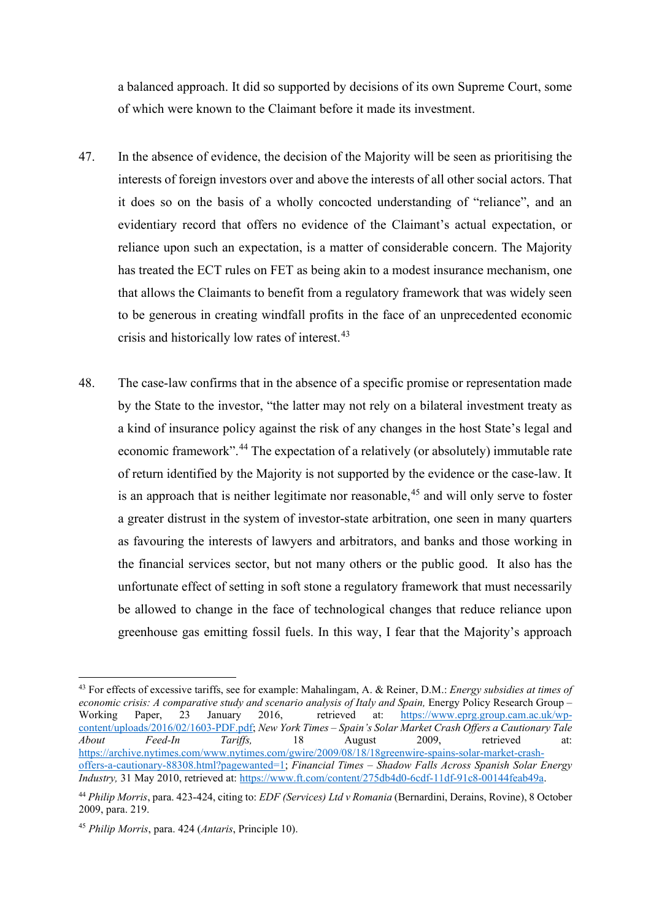a balanced approach. It did so supported by decisions of its own Supreme Court, some of which were known to the Claimant before it made its investment.

- 47. In the absence of evidence, the decision of the Majority will be seen as prioritising the interests of foreign investors over and above the interests of all other social actors. That it does so on the basis of a wholly concocted understanding of "reliance", and an evidentiary record that offers no evidence of the Claimant's actual expectation, or reliance upon such an expectation, is a matter of considerable concern. The Majority has treated the ECT rules on FET as being akin to a modest insurance mechanism, one that allows the Claimants to benefit from a regulatory framework that was widely seen to be generous in creating windfall profits in the face of an unprecedented economic crisis and historically low rates of interest.<sup>[43](#page-21-0)</sup>
- 48. The case-law confirms that in the absence of a specific promise or representation made by the State to the investor, "the latter may not rely on a bilateral investment treaty as a kind of insurance policy against the risk of any changes in the host State's legal and economic framework".[44](#page-21-1) The expectation of a relatively (or absolutely) immutable rate of return identified by the Majority is not supported by the evidence or the case-law. It is an approach that is neither legitimate nor reasonable,<sup>[45](#page-21-2)</sup> and will only serve to foster a greater distrust in the system of investor-state arbitration, one seen in many quarters as favouring the interests of lawyers and arbitrators, and banks and those working in the financial services sector, but not many others or the public good. It also has the unfortunate effect of setting in soft stone a regulatory framework that must necessarily be allowed to change in the face of technological changes that reduce reliance upon greenhouse gas emitting fossil fuels. In this way, I fear that the Majority's approach

<span id="page-21-0"></span><sup>43</sup> For effects of excessive tariffs, see for example: Mahalingam, A. & Reiner, D.M.: *Energy subsidies at times of economic crisis: A comparative study and scenario analysis of Italy and Spain, Energy Policy Research Group – Working Paper. 23 January 2016. retrieved at: https://www.eprg.group.cam.ac.uk/wp*[https://www.eprg.group.cam.ac.uk/wp](https://www.eprg.group.cam.ac.uk/wp-content/uploads/2016/02/1603-PDF.pdf)[content/uploads/2016/02/1603-PDF.pdf;](https://www.eprg.group.cam.ac.uk/wp-content/uploads/2016/02/1603-PDF.pdf) *New York Times – Spain's Solar Market Crash Offers a Cautionary Tale About Feed-In Tariffs,* 18 August 2009, retrieved at: [https://archive.nytimes.com/www.nytimes.com/gwire/2009/08/18/18greenwire-spains-solar-market-crash](https://archive.nytimes.com/www.nytimes.com/gwire/2009/08/18/18greenwire-spains-solar-market-crash-offers-a-cautionary-88308.html?pagewanted=1)[offers-a-cautionary-88308.html?pagewanted=1;](https://archive.nytimes.com/www.nytimes.com/gwire/2009/08/18/18greenwire-spains-solar-market-crash-offers-a-cautionary-88308.html?pagewanted=1) *Financial Times – Shadow Falls Across Spanish Solar Energy Industry,* 31 May 2010, retrieved at: [https://www.ft.com/content/275db4d0-6cdf-11df-91c8-00144feab49a.](https://www.ft.com/content/275db4d0-6cdf-11df-91c8-00144feab49a)

<span id="page-21-1"></span><sup>44</sup> *Philip Morris*, para. 423-424, citing to: *EDF (Services) Ltd v Romania* (Bernardini, Derains, Rovine), 8 October 2009, para. 219.

<span id="page-21-2"></span><sup>45</sup> *Philip Morris*, para. 424 (*Antaris*, Principle 10).